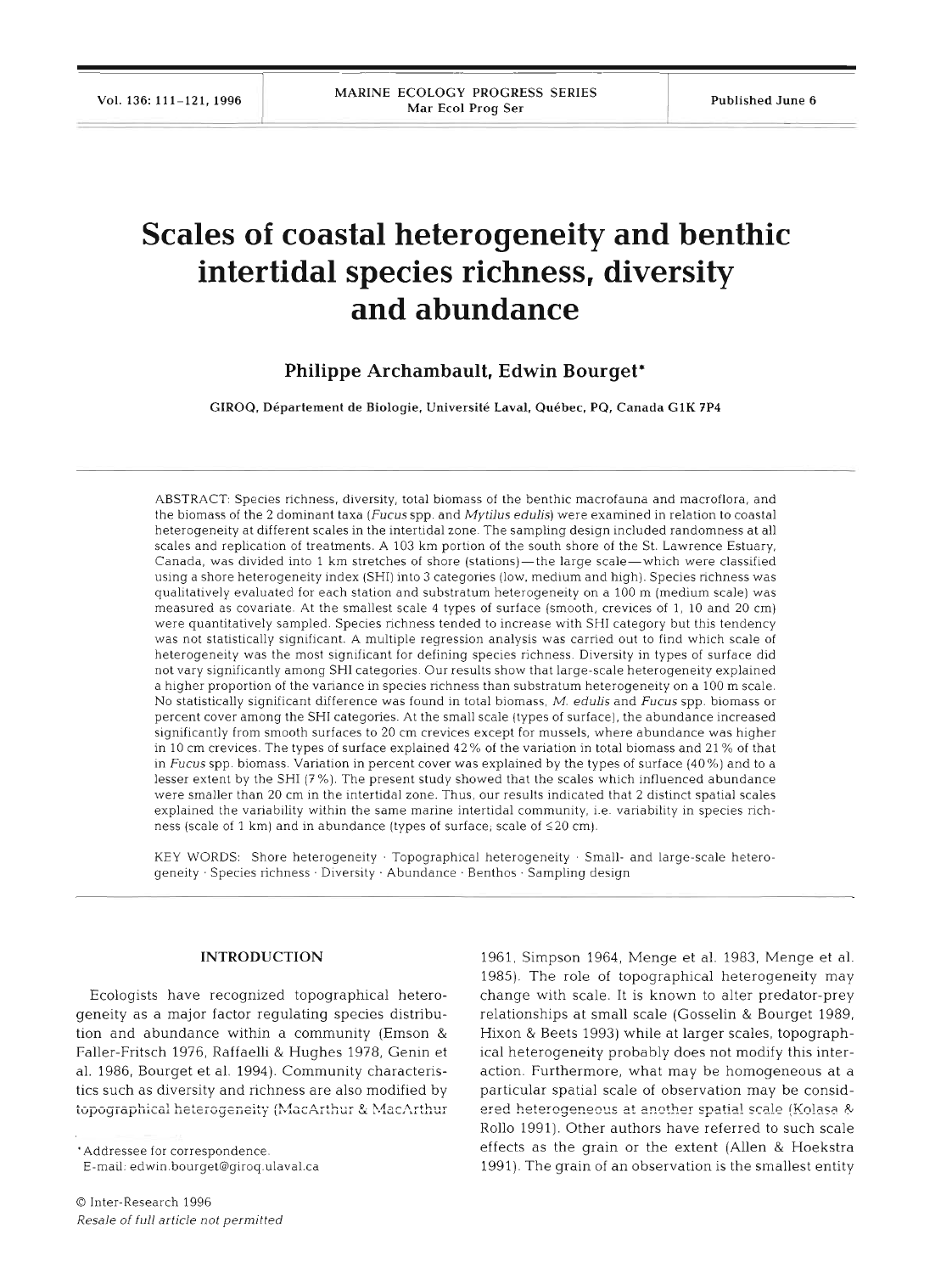# **Scales of coastal heterogeneity and benthic intertidal species richness, diversity and abundance**

# **Philippe Archambault, Edwin Bourget\***

**GIROQ, Departement de Biologie, Universite Laval. Quebec, PQ, Canada G1K 7P4** 

ABSTRACT: Species richness, diversity, total biomass of the benthic macrofauna and macroflora, and the biomass of the 2 dominant taxa (Fucus spp. and Mytilus edulis) were examined in relation to coastal heterogeneity at different scales in the intertidal zone. The sampling design included randomness at all scales and replication of treatments. A 103 km portion of the south shore of the St. Lawrence Estuary, Canada, was divided into 1 km stretches of shore (stations)—the large scale—which were classified using a shore heterogeneity index (SHI) into 3 categories (low, medium and high). Species richness was qualitatively evaluated for each station and substratum heterogeneity on a 100 m (medium scale) was measured as covariate At the smallest scale 4 types of surface (smooth, crevices of 1, 10 and 20 cm) were quantitatively sampled. Species richness tended to increase with SHI category but this tendency was not statistically significant. A multiple regression analysis was carried out to find which scale of heterogeneity was the most significant for defining species richness Diversity in types of surface did not vary significantly among SHI categories. Our results show that large-scale heterogeneity explained a higher proportion of the variance in species richness than substratum heterogeneity on a 100 m scale. No statistically significant difference was found in total biomass, M. edulis and Fucus spp. biomass or percent cover among the SHI categones At the small scale (types of surface), the abundance increased significantly from smooth surfaces to 20 cm crevices except for mussels, where abundance was higher in 10 cm crevices The types of surface explained 42% of the variation in total biomass and 21 % of that in Fucus spp. biomass. Variation in percent cover was explained by the types of surface (40%) and to a lesser extent by the SHI (7%). The present study showed that the scales which influenced abundance were smaller than 20 cm in the intertidal zone. Thus, our results indicated that 2 distinct spatial scales explained the variability within the same marine intertidal community, i.e. variability in species richness (scale of 1 km) and in abundance (types of surface, scale of  $\leq 20$  cm).

KEY WORDS: Shore heterogeneity . Topographical heterogeneity . Small- and large-scale hetero geneity . Species richness . Diversity. Abundance . Benthos . Sampling design

### **INTRODUCTION**

Ecologists have recognized topographical heterogeneity as a major factor regulating species distribution and abundance within a community (Emson & Faller-Fritsch 1976, Raffaelli & Hughes 1978, Genin et al. 1986, Bourget et al. 1994). Community characteristics such as diversity and nchness are also modified by **Lopographical heterogeneity (MacArthur & MacArthur** 

'Addressee for correspondence.

E-mall. edwin.bourget@giroq.ulaval.ca

1961, Simpson 1964, Menge et al. 1983, Menge et al. 1985). The role of topographical heterogeneity may change with scale. It is known to alter predator-prey relationships at small scale (Gosselin & Bourget 1989, Hixon & Beets 1993) while at larger scales, topographical heterogeneity probably does not modify this interaction. Furthermore, what may be homogeneous at a particular spatial scale of observation may be considered heterogeneous at another spatial scale (Kolasa & Rollo 1991). Other authors have referred to such scale effects as the grain or the extent (Allen & Hoekstra 1991). The grain of an observation is the smallest entity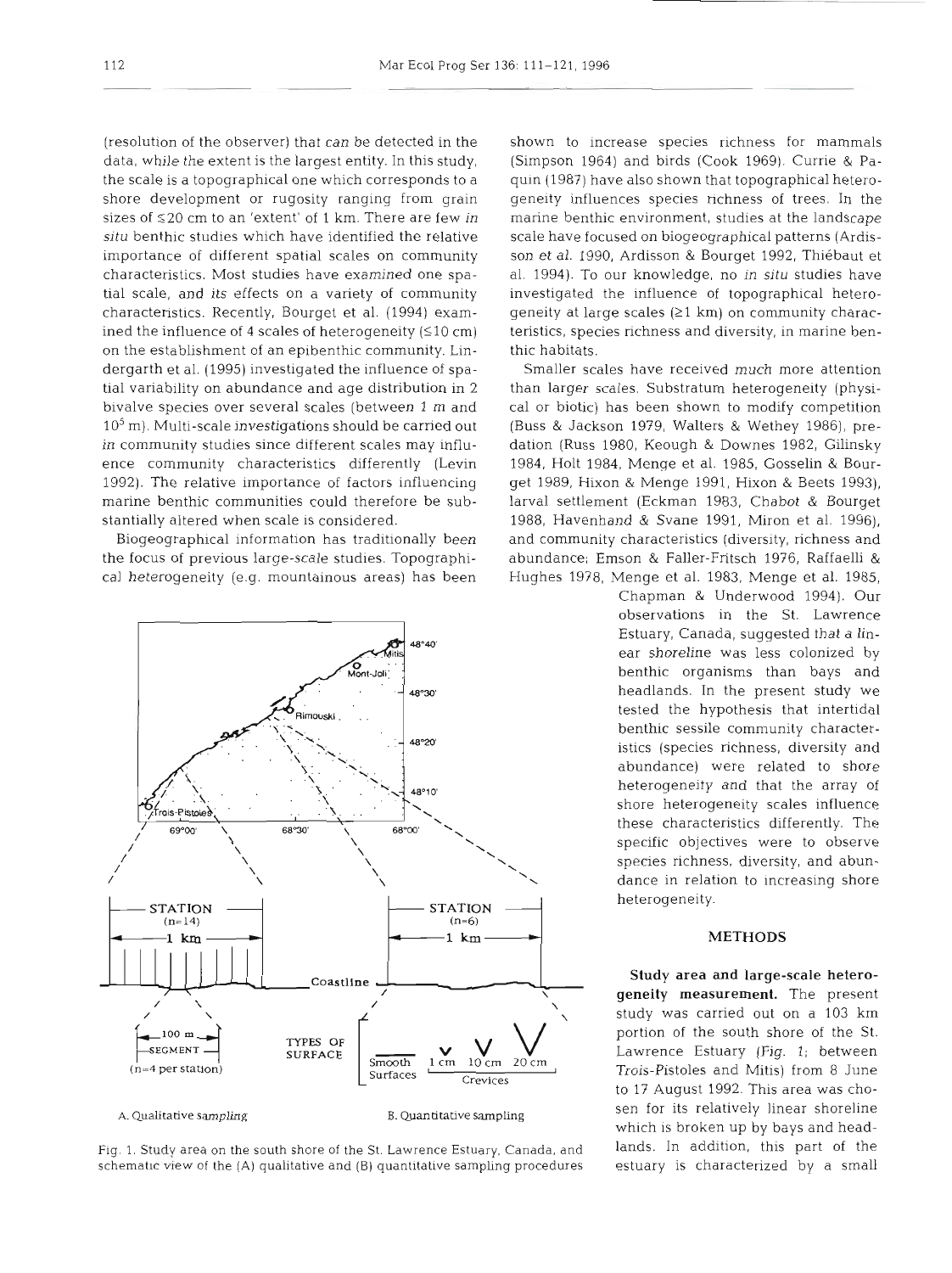(resolution of the observer) that can be detected in the data, while the extent is the largest entity. In this study, the scale is a topographical one which corresponds to a shore development or rugosity ranging from grain sizes of **S20** cm to an 'extent' of 1 km. There are few in **situ** benthic studies which have identified the relative importance of different spatial scales on community characteristics. Most studies have examined one spatial scale, and its effects on a variety of community characteristics. Recently, Bourget et al. (1994) examined the influence of 4 scales of heterogeneity  $(510 \text{ cm})$ on the establishment of an epibenthic community. Lindergarth et al. (1995) investigated the influence of spatial variability on abundance and age distribution in 2 bivalve species over several scales (between 1 m and  $10<sup>5</sup>$  m). Multi-scale investigations should be carried out in community studies since different scales may influence community characteristics differently (Levin 1992). The relative importance of factors influencing marine benthic communities could therefore be substantially altered when scale is considered.

Biogeographical information has traditionally been the focus of previous large-scale studies. Topographical heterogeneity (e.g. mountainous areas) has been



Fig. **1.** Study area on the south shore of the St. Lawrence Estuary, Canada, and schematic view of the  $(A)$  qualitative and  $(B)$  quantitative sampling procedures

shown to increase species richness for mammals (Simpson 1964) and birds (Cook 1969). Currie & Paquin (1987) have also shown that topographical heterogeneity influences species nchness of trees. In the marine benthic environment, studies at the landscape scale have focused on biogeographical patterns (Ardisson et al. 1990, Ardisson & Bourget 1992, Thiebaut et al. 1994). To our knowledge, no in **situ** studies have investigated the influence of topographical heterogeneity at large scales  $(21 \text{ km})$  on community characteristics, species richness and diversity, in marine benthic habitats.

Smaller scales have received much more attention than larger scales. Substratum heterogeneity (physical or biotic) has been shown to modify competition (Buss & Jackson 1979, Walters & Wethey 1986), predation (Russ 1980, Keough & Downes 1982, Gilinsky 1984, Holt 1984, Menge et al. 1985, Gosselin & Bourget 1989, Hixon & bienge 1991, Hixon & Beets 1993), larval settlement (Eckman 1983, Chabot & Bourget 1988, Havenhand & Svane 1991, Miron et al. 1996), and community characteristics (diversity, richness and abundance; Emson & Faller-Fritsch 1976, Raffaelli & Hughes 1978, Menge et al. 1983, Menge et al. 1985,

Chapman & Underwood 1994). Our observations in the St. Lawrence Estuary, Canada, suggested that a linear shoreline was less colonized by benthic organisms than bays and headlands. In the present study we tested the hypothesis that intertidal benthic sessile community characteristics (species richness, diversity and abundance) were related to shore heterogeneity and that the array of shore heterogeneity scales influence these characteristics differently. The specific objectives were to observe species richness, diversity, and abundance in relation to increasing shore

# METHODS

Study area and large-scale hetero**geneity** measurement. The present study was carried out on a 103 km portion of the south shore of the St. Lawrence Estuary (Fig. 1; between Trois-Pistoles and Mitis) from 8 June to 17 August 1992. This area was chosen for its relatively linear shoreline which is broken up by bays and headlands. In addition, this part of the estuary is characterized by a small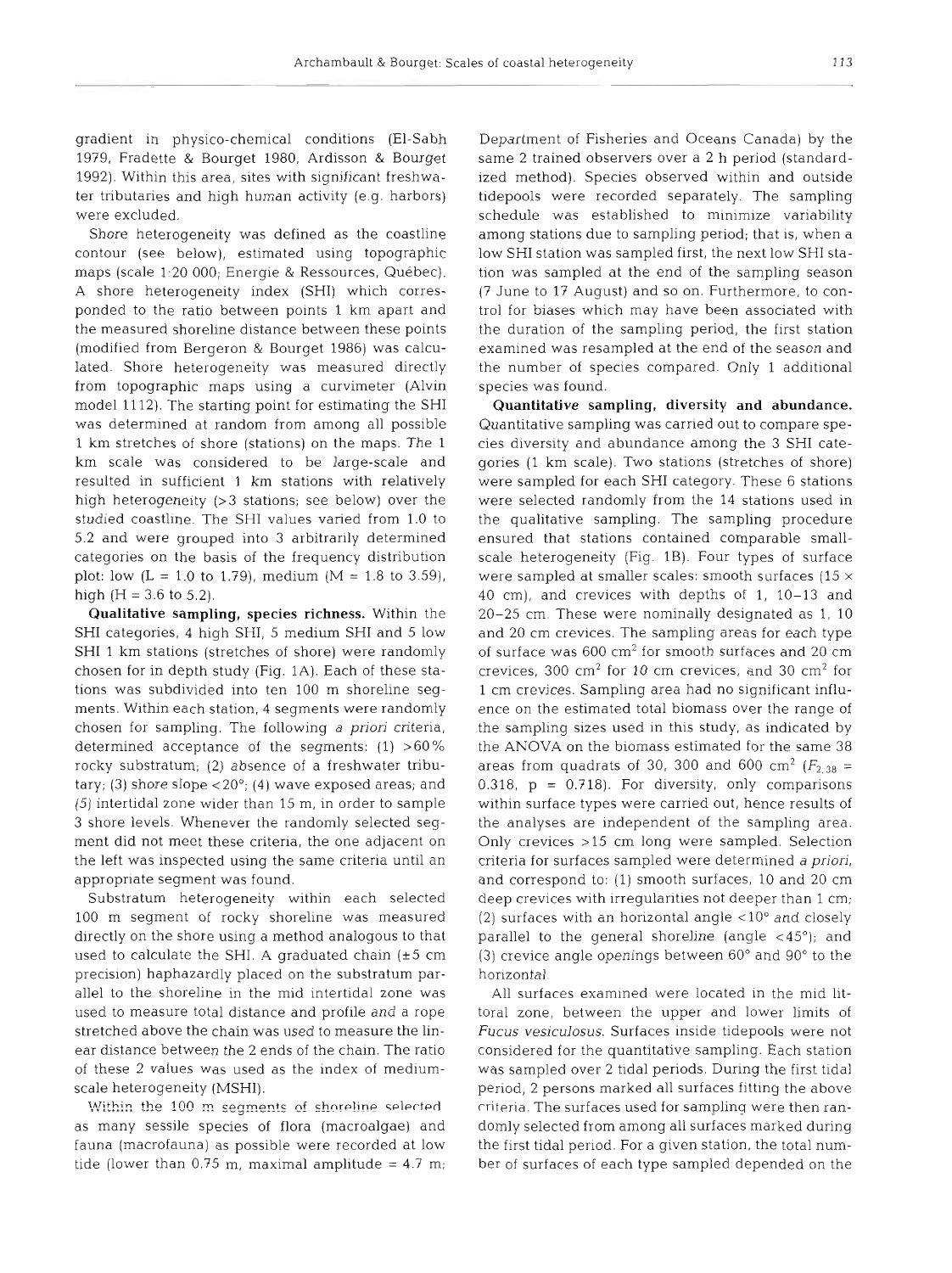gradient in physico-chemical conditions (El-Sabh 1979, Fradette & Bourget 1980, Ardisson & Bourget 1992). Within this area, sites with significant freshwater tributaries and high human activity (e.g. harbors) were excluded.

Shore heterogeneity was defined as the coastline contour (see below), estimated using topographic maps (scale 1:20 000; Energie & Ressources, Québec). A shore heterogeneity index (SHI) which corresponded to the ratio between points 1 km apart and the measured shoreline distance between these points (modified from Bergeron & Bourget 1986) was calculated. Shore heterogeneity was measured directly from topographic maps using a curvimeter (Alvin model 1112). The starting point for estimating the SHI was determined at random from among all possible 1 km stretches of shore (stations) on the maps. The 1 km scale was considered to be large-scale and resulted in sufficient 1 km stations with relatively high heterogeneity (>3 stations; see below) over the studied coastline. The SHI values varied from 1.0 to 5.2 and were grouped into 3 arbitrarily determined categories on the basis of the frequency distribution plot: low  $(L = 1.0 \text{ to } 1.79)$ , medium  $(M = 1.8 \text{ to } 3.59)$ , high  $(H = 3.6 \text{ to } 5.2)$ .

Qualitative sampling, species richness. Within the SHI categories, 4 high SHI, 5 medium SHI and 5 low SHI 1 km stations (stretches of shore) were randomly chosen for in depth study (Fig. 1A). Each of these stations was subdivided into ten 100 m shoreline segments. Within each station, 4 segments were randomly chosen for sampling. The following a *pnori* criteria, determined acceptance of the segments:  $(1) > 60\%$ rocky substratum; (2) absence of a freshwater tributary; (3) shore slope  $< 20^{\circ}$ ; (4) wave exposed areas; and (5) intertidal zone wider than 15 m, in order to sample 3 shore levels. Whenever the randomly selected segment did not meet these criteria, the one adjacent on the left was inspected using the same criteria until an appropriate segment was found.

Substratum heterogeneity within each selected 100 m segment of rocky shoreline was measured directly on the shore using a method analogous to that used to calculate the SHI. A graduated chain  $(t+5)$  cm precision) haphazardly placed on the substratum parallel to the shoreline in the mid intertidal zone was used to measure total distance and profile and a rope stretched above the chain was used to measure the linear distance between the 2 ends of the chain. The ratio of these 2 values was used as the index of mediumscale heterogeneity (MSHI).

Within the 100 m segments of shoreline selected as many sessile species of flora (macroalgae) and fauna (macrofauna) as possible were recorded at low tide (lower than 0.75 m, maximal amplitude =  $4.7$  m;

Department of Fisheries and Oceans Canada) by the same 2 trained observers over a 2 h period (standardized method). Species observed within and outside tidepools were recorded separately. The sampling schedule was established to minimize variability among stations due to sampling period; that is, when a low SHI station was sampled first, the next low SHI station was sampled at the end of the sampling season (7 June to 17 August) and so on. Furthermore, to control for biases which may have been associated with the duration of the sampling period, the first station examined was resampled at the end of the season and the number of species compared. Only 1 additional species was found.

Quantitative sampling, diversity and abundance. Quantitative sampling was carried out to compare species diversity and abundance among the 3 SHI categories (1 km scale). Two stations (stretches of shore) were sampled for each SHI category. These 6 stations were selected randomly from the 14 stations used in the qualitative sampling. The sampling procedure ensured that stations contained comparable smallscale heterogeneity (Fig. 1B). Four types of surface were sampled at smaller scales: smooth surfaces (15  $\times$ 40 cm), and crevices with depths of 1, 10-13 and 20-25 cm. These were nominally designated as 1, 10 and 20 cm crevices. The sampling areas for each type of surface was  $600 \text{ cm}^2$  for smooth surfaces and 20 cm crevices, 300  $\text{cm}^2$  for 10 cm crevices, and 30  $\text{cm}^2$  for 1 cm crevices. Sampling area had no significant influence on the estimated total biomass over the range of the sampling sizes used in this study, as indicated by the ANOVA on the biomass estimated for the same 38 areas from quadrats of 30, 300 and 600 cm<sup>2</sup> ( $F_{2,38}$  = 0.318,  $p = 0.718$ . For diversity, only comparisons within surface types were carried out, hence results of the analyses are independent of the sampling area. Only crevices >l5 cm long were sampled. Selection criteria for surfaces sampled were determined a *priori,*  and correspond to: (1) smooth surfaces, 10 and 20 cm deep crevices with irregularities not deeper than 1 cm; (2) surfaces with an horizontal angle  $\langle 10^\circ$  and closely parallel to the general shoreline (angle  $\langle 45^{\circ} \rangle$ ; and (3) crevice angle openings between  $60^{\circ}$  and  $90^{\circ}$  to the horizontal

All surfaces examined were located in the mid littoral zone, between the upper and lower limits of **Fucus vesiculosus.** Surfaces inside tidepools were not considered for the quantitative sampling. Each station was sampled over 2 tidal periods. During the first tidal period, 2 persons marked all surfaces fitting the above criteria. The surfaces used for sampling were then randomly selected from among all surfaces marked during the first tidal period. For a given station, the total number of surfaces of each type sampled depended on the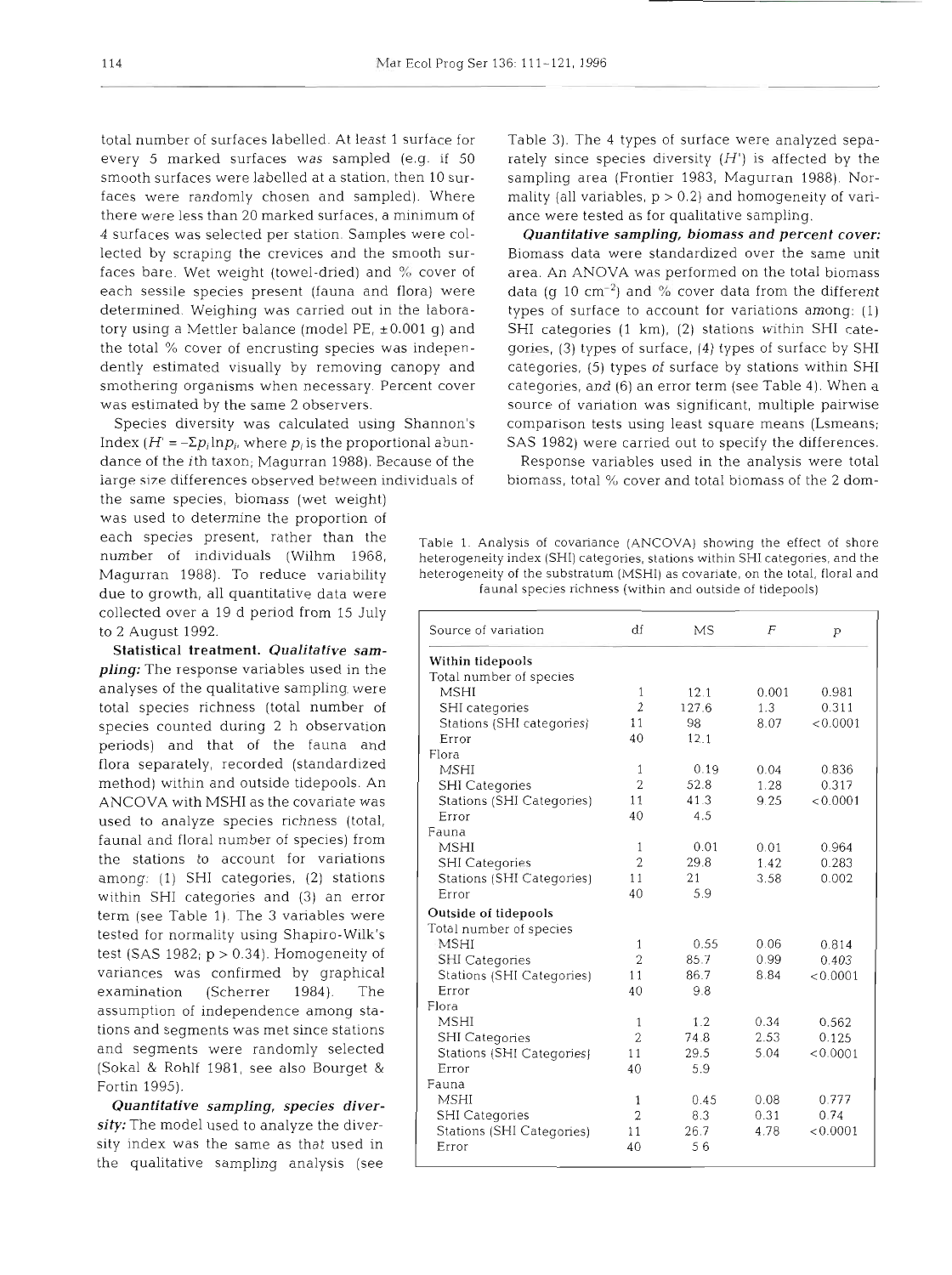every 5 marked surfaces was sampled (e.g. if  $50$  rately since species diversity (H') is affected by the smooth surfaces were labelled at a station, then 10 sur- sampling area (Frontier 1983, Magurran 1988). Norfaces were randomly chosen and sampled). Where mality (all variables,  $p > 0.2$ ) and homogeneity of varithere were less than 20 marked surfaces, a minimum of ance were tested as for qualitative sampling. 4 surfaces was selected per station. Samples were col- *Quantitative sampling, biomass and percent cover:*  lected by scraping the crevices and the smooth sur- Biomass data were standardized over the same unit faces bare. Wet weight (towel-dried) and % cover of area. An **ANOVA** was performed on the total biomass each sessile species present (fauna and flora) were data (g 10 cm<sup>-2</sup>) and % cover data from the different determined. Weighing was carried out in the labora- types of surface to account for variations among: (1) tory using a Mettler balance (model PE,  $\pm 0.001$  g) and SHI categories (1 km), (2) stations within SHI catethe total % cover of encrusting species was indepen- gories, (3) types of surface, (4) types of surface by SHI dently estimated visually by removing canopy and categories, (5) types of surface by stations within SHI smothering organisms when necessary. Percent cover categories, and (6) an error term (see Table 4). When a was estimated by the same 2 observers. Source of variation was significant, multiple pairwise

Index  $(H' = -\Sigma p_i \ln p_i$ , where  $p_i$  is the proportional abun-SAS 1982) were carried out to specify the differences. dance of the *i*th taxon; Magurran 1988). Because of the Response variables used in the analysis were total large size differences observed between individuals of biomass, total % cover and total biomass of the 2 dom-

the same species, biomass (wet weight) was used to determine the proportion of collected over a 19 d period from 15 July to 2 August 1992.

Statistical treatment. *Qualitative sampling:* The response variables used in the analyses of the qualitative sampling. were total species richness (total number of species counted during 2 h observation periods) and that of the fauna and flora separately, recorded (standardized method) within and outside tidepools. An ANCOVA with MSHI as the covariate was used to analyze species richness (total, faunal and floral number of species) from the stations to account for variations among: (1) SHI categories, (2) stations within SHI categories and (3) an error term (see Table 1). The 3 variables were tested for normality using Shapiro-Wilk's test (SAS 1982;  $p > 0.34$ ). Homogeneity of variances was confirmed by graphical examination (Scherrer 1984). The assumption of independence among stations and segments was met since stations and segments were randomly selected (Sokal & Rohlf 1981, see also Bourget & Fortin 1995).

*Quantitative sampling, species diversity:* The model used to analyze the diversity index was the same as that used in the qualitative sampling analysis (see

total number of surfaces labelled. At least 1 surface for Table 3). The 4 types of surface were analyzed sepa-

Species diversity was calculated using Shannon's comparison tests using least square means (Lsmeans;

each species present, rather than the Table 1. Analysis of covariance (ANCOVA) showing the effect of shore number of individuals (Wilhm 1968, heterogeneity index (SHI) categories, stations within SHI categories, and the Magurran 1988). To reduce variability heterogeneity of the substratum (MSHI) as covariate, on the total, floral and due to growth, all quantitative data were fauna1 species richness (within and outside of tidepools)

| Source of variation       | df             | MS    | $\overline{F}$ | p        |
|---------------------------|----------------|-------|----------------|----------|
| Within tidepools          |                |       |                |          |
| Total number of species   |                |       |                |          |
| <b>MSHI</b>               | 1              | 12.1  | 0.001          | 0.981    |
| SHI categories            | $\overline{2}$ | 127.6 | 1.3            | 0.311    |
| Stations (SHI categories) | 11             | 98    | 8.07           | < 0.0001 |
| Error                     | 40             | 12.1  |                |          |
| Flora                     |                |       |                |          |
| MSHI                      | 1              | 0.19  | 0.04           | 0.836    |
| <b>SHI</b> Categories     | $\overline{2}$ | 52.8  | 1.28           | 0.317    |
| Stations (SHI Categories) | 11             | 41.3  | 9.25           | < 0.0001 |
| Error                     | 40             | 4.5   |                |          |
| Fauna                     |                |       |                |          |
| MSHI                      | 1              | 0.01  | 0.01           | 0.964    |
| <b>SHI Categories</b>     | $\overline{2}$ | 29.8  | 1.42           | 0.283    |
| Stations (SHI Categories) | 11             | 21    | 3.58           | 0.002    |
| Error                     | 40             | 5.9   |                |          |
| Outside of tidepools      |                |       |                |          |
| Total number of species   |                |       |                |          |
| <b>MSHI</b>               | 1              | 0.55  | 0.06           | 0.814    |
| SHI Categories            | $\overline{2}$ | 85.7  | 0.99           | 0.403    |
| Stations (SHI Categories) | 11             | 86.7  | 8.84           | < 0.0001 |
| Error                     | 40             | 9.8   |                |          |
| Flora                     |                |       |                |          |
| <b>MSHI</b>               | 1              | 1.2   | 0.34           | 0.562    |
| <b>SHI</b> Categories     | $\overline{2}$ | 74.8  | 2.53           | 0.125    |
| Stations (SHI Categories) | 11             | 29.5  | 5.04           | < 0.0001 |
| Error                     | 40             | 5.9   |                |          |
| Fauna                     |                |       |                |          |
| <b>MSHI</b>               | 1              | 0.45  | 0.08           | 0.777    |
| <b>SHI</b> Categories     | $\overline{2}$ | 8.3   | 0.31           | 0.74     |
| Stations (SHI Categories) | 11             | 26.7  | 4.78           | < 0.0001 |
| Error                     | 40             | 56    |                |          |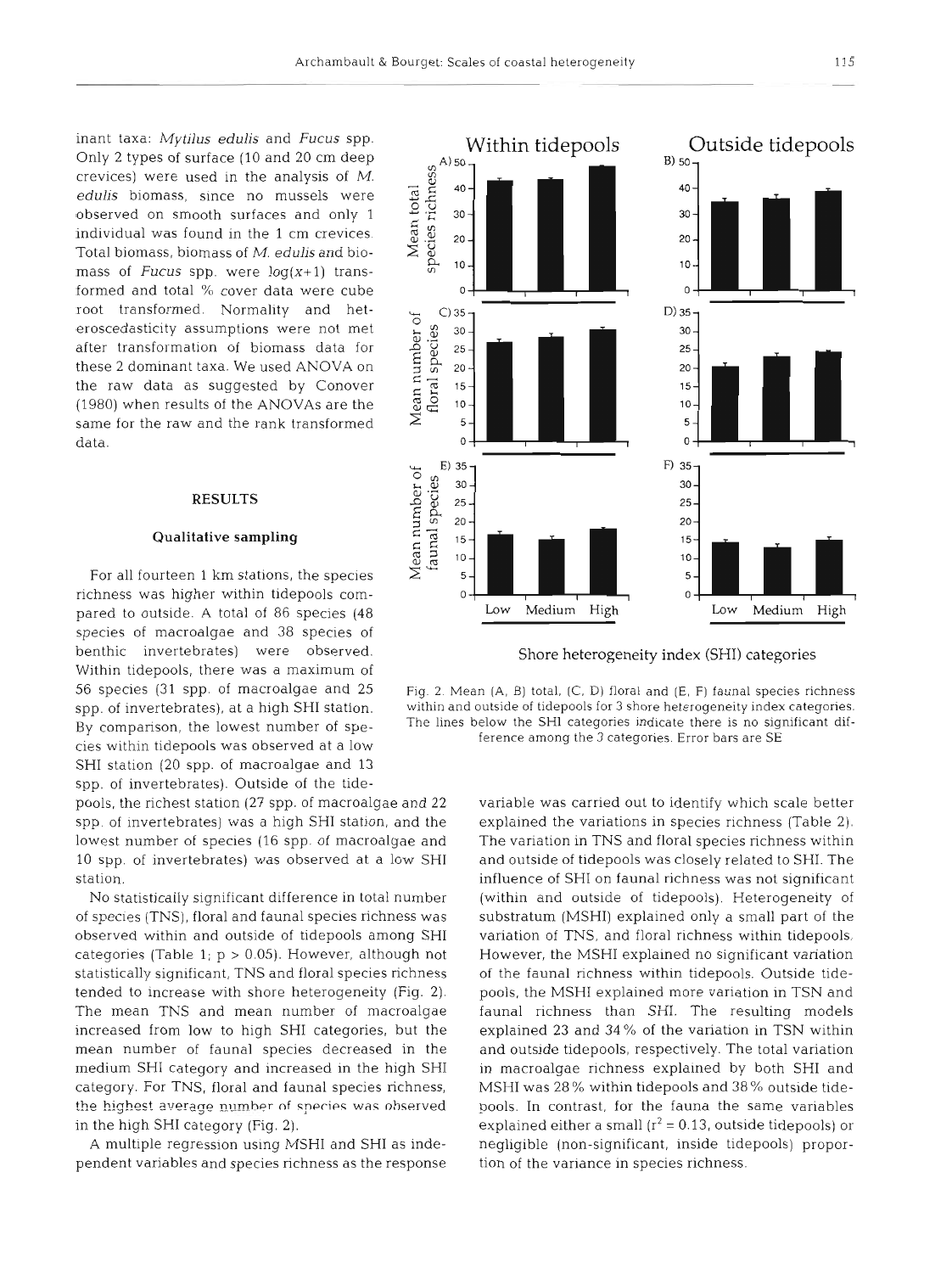$A)$  50

Within tidepools

inant taxa: *MytiIus edulis* and *Fucus* spp. Only *2* types of surface (10 and 20 cm deep crevices) were used in the analysis of M. *edulis* biomass, since no mussels were observed on smooth surfaces and only 1 individual was found in the 1 cm crevices. Total biomass, biomass of M. *edulis* and biomass of *Fucus* spp. were  $log(x+1)$  transformed and total % cover data were cube root transformed. Normality and het-From the mass of the mass of the mass of the concedusticity assumptions were not met<br>after transformation of biomass data for<br>these 2 dominant taxa. We used ANOVA on<br>the raw data as suggested by Conover<br>(1980) when results after transformation of biomass data for eroscedasticity assumptions were not met<br>after transformation of biomass data for<br>these 2 dominant taxa. We used ANOVA on<br>the raw data as suggested by Conover<br>(1980) when results of the ANOVAs are the the raw data as suggested by Conover  $\frac{2}{5}$   $\frac{1}{6}$  15  $(1980)$  when results of the ANOVAs are the  $\mathbb{R}$  **P 10** same for the raw and the rank transformed  $\geq$  **5** data.

# RESULTS

### Qualitative **sampling**

For all fourteen 1 km stations, the species richness was higher within tidepools comspecies of macroalgae and 38 species of benthic invertebrates) were observed. Shore heterogeneity index (SHI) categories Within tidepools, there was a maximum of SHI station (20 spp. of macroalgae and 13 spp. of invertebrates). Outside of the tide-

pools, the richest station (27 spp. of macroalgae and 22 variable was carried out to identify which scale better

pendent variables and species richness as the response tion of the variance in species richness.



56 species (31 spp. of macroalgae and 25 Fig. 2. Mean (A, B) total, (C, D) floral and (E, F) faunal species richness spp. of invertebrates), at a high SHI station. within and outside of tidepools for **3** shore heterogeneity index categories.  $\overline{By}$  comparison, the lowest number of spe-<br>cies within tidepools was observed at a low<br>ference among the 3 categories. Error bars are SE

spp, of invertebrates) was a high SHI station, and the explained the variations in species richness (Table 2). lowest number of species (16 spp. of macroalgae and The variation in TNS and floral species richness within 10 spp. of invertebrates) was observed at a low SHI and outside of tidepools was closely related to SHI. The station. **influence of SHI on faunal richness was not significant** No statistically significant difference in total number (within and outside of tidepools). Heterogeneity of of species (TNS), floral and faunal species richness was substratum (MSHI) explained only a small part of the observed within and outside of tidepools among SHI variation of TNS, and floral richness within tidepools. categories (Table 1;  $p > 0.05$ ). However, although not However, the MSHI explained no significant variation statistically significant, TNS and floral species richness of the faunal richness within tidepools. Outside tidetended to increase with shore heterogeneity (Fig. 2). pools, the MSHI explained more variation in TSN and The mean TNS and mean number of macroalgae faunal richness than SHI. The resulting models increased from low to high SHI categories, but the explained 23 and 34% of the variation in TSN within mean number of faunal species decreased in the and outside tidepools, respectively. The total variation medium SHI category and increased in the high SHI in macroalgae richness explained by both SHI and category. For TNS, floral and faunal species richness, MSHI was 28 % within tidepools and 38 % outside tidethe highest average number of species was observed pools. In contrast, for the fauna the same variables in the high SHI category (Fig. 2). explained either a small  $(r^2 = 0.13)$ , outside tidepools) or A multiple regression using MSHI and SHI as inde- negligible (non-significant, inside tidepools) propor-

Outside tidepools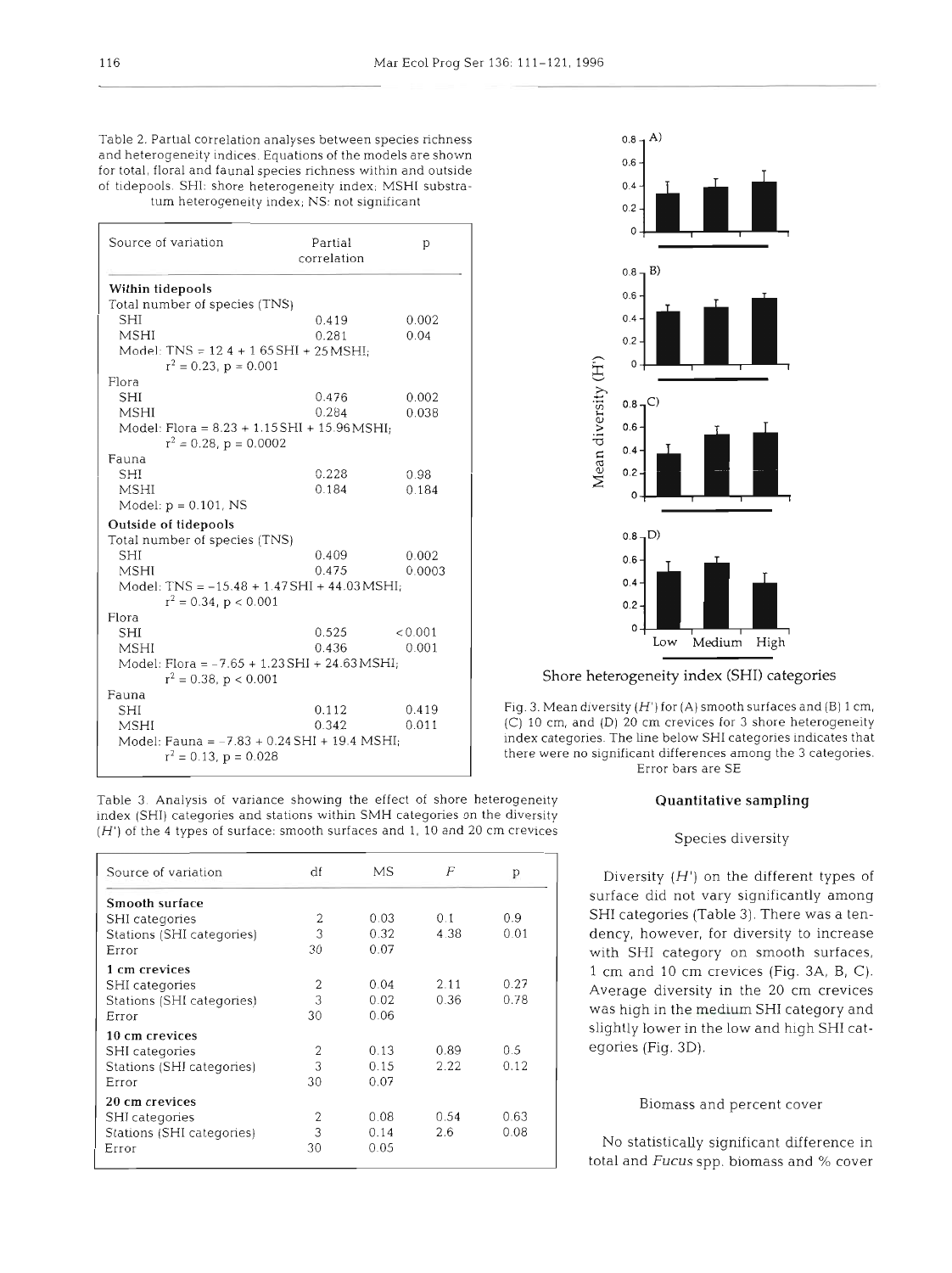Table 2. Partial correlation analyses between species richness and heterogeneity indices. Equations of the models are shown for total, floral and fauna1 species richness within and outside of tidepools. SHI: shore heterogeneity index; MSHI substratum heterogeneity index; NS: not significant

| Source of variation                                                             | Partial<br>correlation | p       |
|---------------------------------------------------------------------------------|------------------------|---------|
| Within tidepools                                                                |                        |         |
| Total number of species (TNS)                                                   |                        |         |
| SHI                                                                             | 0.419                  | 0.002   |
| <b>MSHI</b>                                                                     | 0.281                  | 0.04    |
| Model: $TNS = 12.4 + 1.65SHI + 25MSHI$<br>$r^2 = 0.23$ , $p = 0.001$            |                        |         |
| Flora                                                                           |                        |         |
| SHI                                                                             | 0.476                  | 0.002   |
| MSHI                                                                            | 0.284                  | 0.038   |
| Model: Flora = $8.23 + 1.15$ SHI + $15.96$ MSHI;<br>$r^2 = 0.28$ , $p = 0.0002$ |                        |         |
| Fauna                                                                           |                        |         |
| <b>SHI</b>                                                                      | 0.228                  | 0.98    |
| <b>MSHI</b>                                                                     | 0.184                  | 0.184   |
| Model: $p = 0.101$ , NS                                                         |                        |         |
| Outside of tidepools                                                            |                        |         |
| Total number of species (TNS)                                                   |                        |         |
| SHI                                                                             | 0.409                  | 0.002   |
| <b>MSHI</b>                                                                     | 0.475                  | 0.0003  |
| Model: TNS = $-15.48 + 1.47$ SHI + 44.03 MSHI;<br>$r^2 = 0.34$ , p < 0.001      |                        |         |
| Flora                                                                           |                        |         |
| <b>SHI</b>                                                                      | 0.525                  | < 0.001 |
| <b>MSHI</b>                                                                     | 0.436                  | 0.001   |
| Model: Flora = $-7.65 + 1.23$ SHI + 24.63 MSHI;                                 |                        |         |
| $r^2 = 0.38$ , p < 0.001                                                        |                        |         |
| Fauna                                                                           |                        |         |
| <b>SHI</b>                                                                      | 0.112                  | 0.419   |
| <b>MSHI</b>                                                                     | 0.342                  | 0.011   |
| Model: Fauna = $-7.83 + 0.24$ SHI + 19.4 MSHI;<br>$r^2 = 0.13$ , $p = 0.028$    |                        |         |

Table 3. Analysis of variance showing the effect of shore heterogeneity index (SHI) categories and stations within SMH categories on the diversity  $(H')$  of the 4 types of surface: smooth surfaces and 1, 10 and 20 cm crevices

| Source of variation       | df | MS   | F    | р    |
|---------------------------|----|------|------|------|
| Smooth surface            |    |      |      |      |
| SHI categories            | 2  | 0.03 | 0.1  | 0.9  |
| Stations (SHI categories) | 3  | 0.32 | 4.38 | 0.01 |
| Error                     | 30 | 0.07 |      |      |
| 1 cm crevices             |    |      |      |      |
| <b>SHI</b> categories     | 2  | 0.04 | 2.11 | 0.27 |
| Stations (SHI categories) | 3  | 0.02 | 0.36 | 0.78 |
| Error                     | 30 | 0.06 |      |      |
| 10 cm crevices            |    |      |      |      |
| SHI categories            | 2  | 0.13 | 0.89 | 0.5  |
| Stations (SHI categories) | 3  | 0.15 | 2.22 | 0.12 |
| Error                     | 30 | 0.07 |      |      |
| <b>20 cm crevices</b>     |    |      |      |      |
| SHI categories            | 2  | 0.08 | 0.54 | 0.63 |
| Stations (SHI categories) | 3  | 0.14 | 2.6  | 0.08 |
| Error                     | 30 | 0.05 |      |      |



Shore heterogeneity index (SHI) categories

Fig. 3. Mean diversity  $(H')$  for (A) smooth surfaces and (B) 1 cm, (C) 10 cm, and (D) 20 cm crevices for 3 shore heterogeneity index categories. The line below SHI categories indicates that there were no significant differences among the 3 categories.<br>Error bars are SE

# Quantitative sampling

# Species diversity

Diversity  $(H')$  on the different types of surface did not vary significantly among SHI categories (Table 3). There was a tendency, however, for diversity to increase with SHI category on smooth surfaces, 1 cm and 10 cm crevices (Fig. 3A, B, C). Average diversity in the 20 cm crevices was high in the medium SHI category and slightly lower in the low and high SHI categories (Fig. 3D).

### Biomass and percent cover

No statistically significant difference in total and Fucus spp. biomass and % cover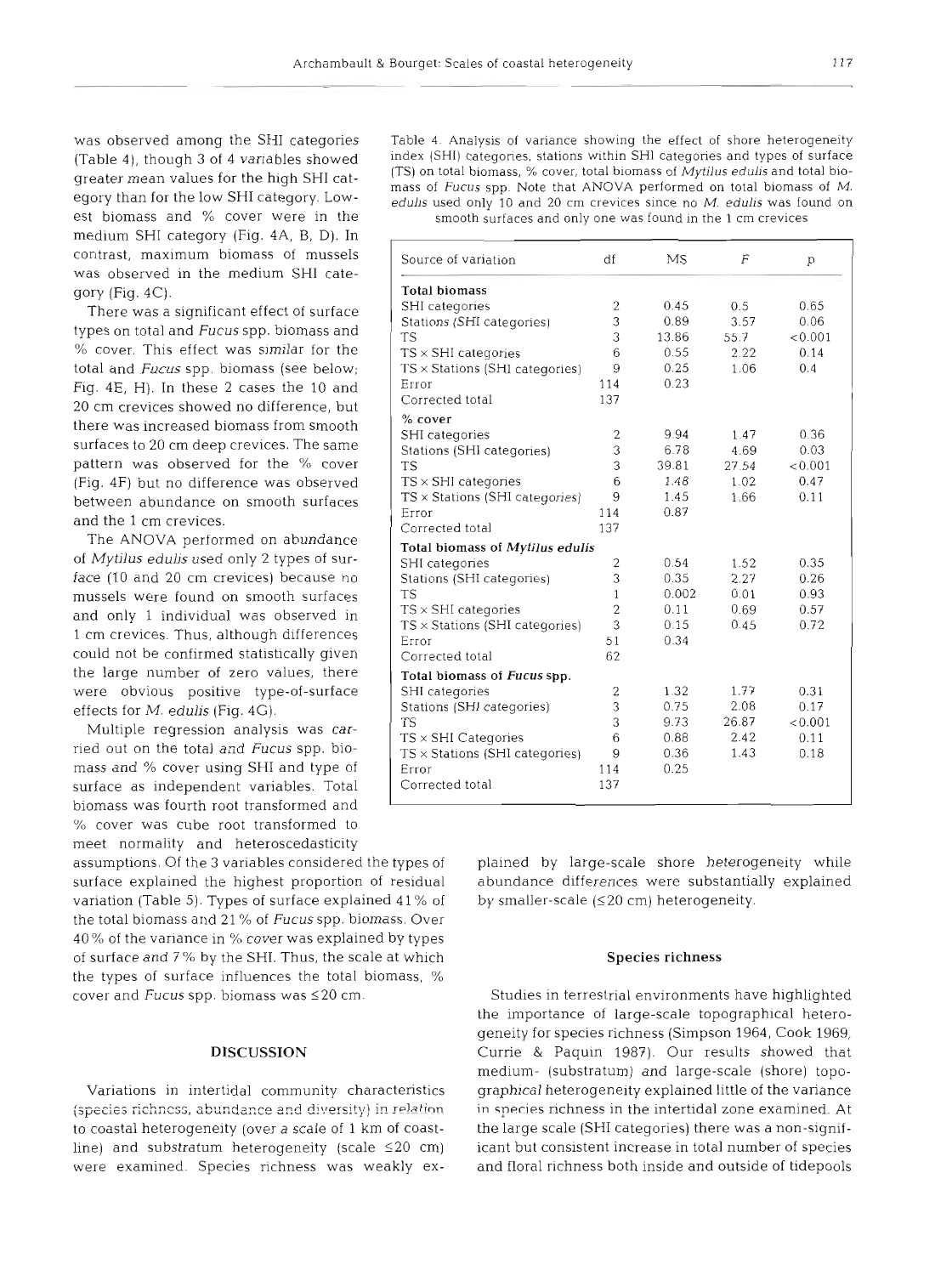medium SHI category (Fig. 4A, B, D). In gory (Fig. 4C).

Multiple regression analysis was carried out on the total and *Fucus* spp. biomass and % cover using SHI and type of surface as independent variables. Total biomass was fourth root transformed and *U/O* cover was cube root transformed to meet normality and heteroscedasticity

surface explained the highest proportion of residual abundance differences were substantially explained variation (Table 5). Types of surface explained  $41\%$  of by smaller-scale ( $\leq 20$  cm) heterogeneity. the total biomass and **21** % of *Fucus* spp. biomass. Over 40% of the variance in % cover was explained by types of surface and 7 % by the SHI. Thus, the scale at which **Species richness**  the types of surface influences the total biomass, % cover and *Fucus* spp. biomass was  $\leq 20$  cm. Studies in terrestrial environments have highlighted

was observed amonq the SHI cateqories Table **4.** Analysis of variance showinq the effect of shore heteroqeneity (Table 4), though 3 of 4 variables showed index (SHI) categories, stations within-SHI categories and types of surface  $(TS)$  on total biomass, % cover, total biomass of *Mytilus edulis* and total biogreater mean values for the high SHI cate<br>egory than for the low SHI category. Low-<br>egory than for the low SHI category. Low-<br>edulis used only 10 and 20 cm crevices since no *M. edulis* was found on<br>est biomass and % cover smooth surfaces and only one was found in the 1 cm crevices

| contrast, maximum biomass of mussels<br>was observed in the medium SHI cate- | Source of variation                    | df             | MS            | F             | p               |
|------------------------------------------------------------------------------|----------------------------------------|----------------|---------------|---------------|-----------------|
| gory $(Fig. 4C)$ .                                                           | <b>Total biomass</b>                   |                |               |               |                 |
| There was a significant effect of surface                                    | SHI categories                         | 2              | 0.45          | 0.5           | 0.65            |
|                                                                              | Stations (SHI categories)              | 3              | 0.89          | 3.57          | 0.06            |
| types on total and Fucus spp. biomass and                                    | <b>TS</b>                              | 3              | 13.86         | 55.7          | < 0.001         |
| % cover. This effect was similar for the                                     | $TS \times SHI$ categories             | 6              | 0.55          | 2.22          | 0.14            |
| total and Fucus spp. biomass (see below;                                     | $TS \times$ Stations (SHI categories)  | 9              | 0.25          | 1.06          | 0.4             |
| Fig. 4E, H). In these 2 cases the 10 and                                     | Error                                  | 114            | 0.23          |               |                 |
| 20 cm crevices showed no difference, but                                     | Corrected total                        | 137            |               |               |                 |
| there was increased biomass from smooth                                      | $%$ cover                              |                |               |               |                 |
| surfaces to 20 cm deep crevices. The same                                    | SHI categories                         | $\overline{2}$ | 9.94          | 1.47          | 0.36            |
| pattern was observed for the % cover                                         | Stations (SHI categories)<br><b>TS</b> | 3<br>3         | 6.78<br>39.81 | 4.69<br>27.54 | 0.03<br>< 0.001 |
| (Fig. 4F) but no difference was observed                                     | $TS \times SHI$ categories             | 6              | 1.48          | 1.02          | 0.47            |
|                                                                              | $TS \times$ Stations (SHI categories)  | 9              | 1.45          | 1.66          | 0.11            |
| between abundance on smooth surfaces                                         | Error                                  | 114            | 0.87          |               |                 |
| and the 1 cm crevices.                                                       | Corrected total                        | 137            |               |               |                 |
| The ANOVA performed on abundance                                             | Total biomass of Mytilus edulis        |                |               |               |                 |
| of Mytilus edulis used only 2 types of sur-                                  | SHI categories                         | $\mathbf{2}$   | 0.54          | 1.52          | 0.35            |
| face (10 and 20 cm crevices) because no                                      | Stations (SHI categories)              | 3              | 0.35          | 2.27          | 0.26            |
| mussels were found on smooth surfaces                                        | <b>TS</b>                              | 1              | 0.002         | 0.01          | 0.93            |
| and only 1 individual was observed in                                        | $TS \times SHI$ categories             | $\overline{2}$ | 0.11          | 0.69          | 0.57            |
| 1 cm crevices. Thus, although differences                                    | $TS \times$ Stations (SHI categories)  | 3              | 0.15          | 0.45          | 0.72            |
| could not be confirmed statistically given                                   | Error                                  | 51             | 0.34          |               |                 |
|                                                                              | Corrected total                        | 62             |               |               |                 |
| the large number of zero values, there                                       | Total biomass of Fucus spp.            |                |               |               |                 |
| were obvious positive type-of-surface                                        | SHI categories                         | 2              | 1.32          | 1.77          | 0.31            |
| effects for M. edulis (Fig. 4G).                                             | Stations (SHI categories)<br><b>TS</b> | 3<br>3         | 0.75<br>9.73  | 2.08<br>26.87 | 0.17<br>< 0.001 |
| Multiple regression analysis was car-                                        | $TS \times SHI$ Categories             | 6              | 0.88          | 2.42          | 0.11            |
| ried out on the total and Fucus spp. bio-                                    | $TS \times$ Stations (SHI categories)  | 9              | 0.36          | 1.43          | 0.18            |
| mass and % cover using SHI and type of                                       | Error                                  | 114            | 0.25          |               |                 |
| surface as independent variables. Total                                      | Corrected total                        | 137            |               |               |                 |

assumptions. Of the **3** variables considered the types of plained by large-scale shore heterogeneity while

the importance of large-scale topographical heterogeneity for species richness (Simpson 1964, Cook 1969, **DISCUSSION** Currie & Paquin 1987). Our results showed that medium- (substratum) and large-scale (shore) topo-Variations in intertidal community characteristics graphical heterogeneity explained little of the variance (species richness, abundance and diversity) in relation in species richness in the intertidal zone examined. At to coastal heterogeneity (over a scale of 1 km of coast- the large scale (SHI categories) there was a non-signifline) and substratum heterogeneity (scale **120** cm) icant but consistent increase in total number of species were examined. Species richness was weakly ex- and floral richness both inside and outside of tidepools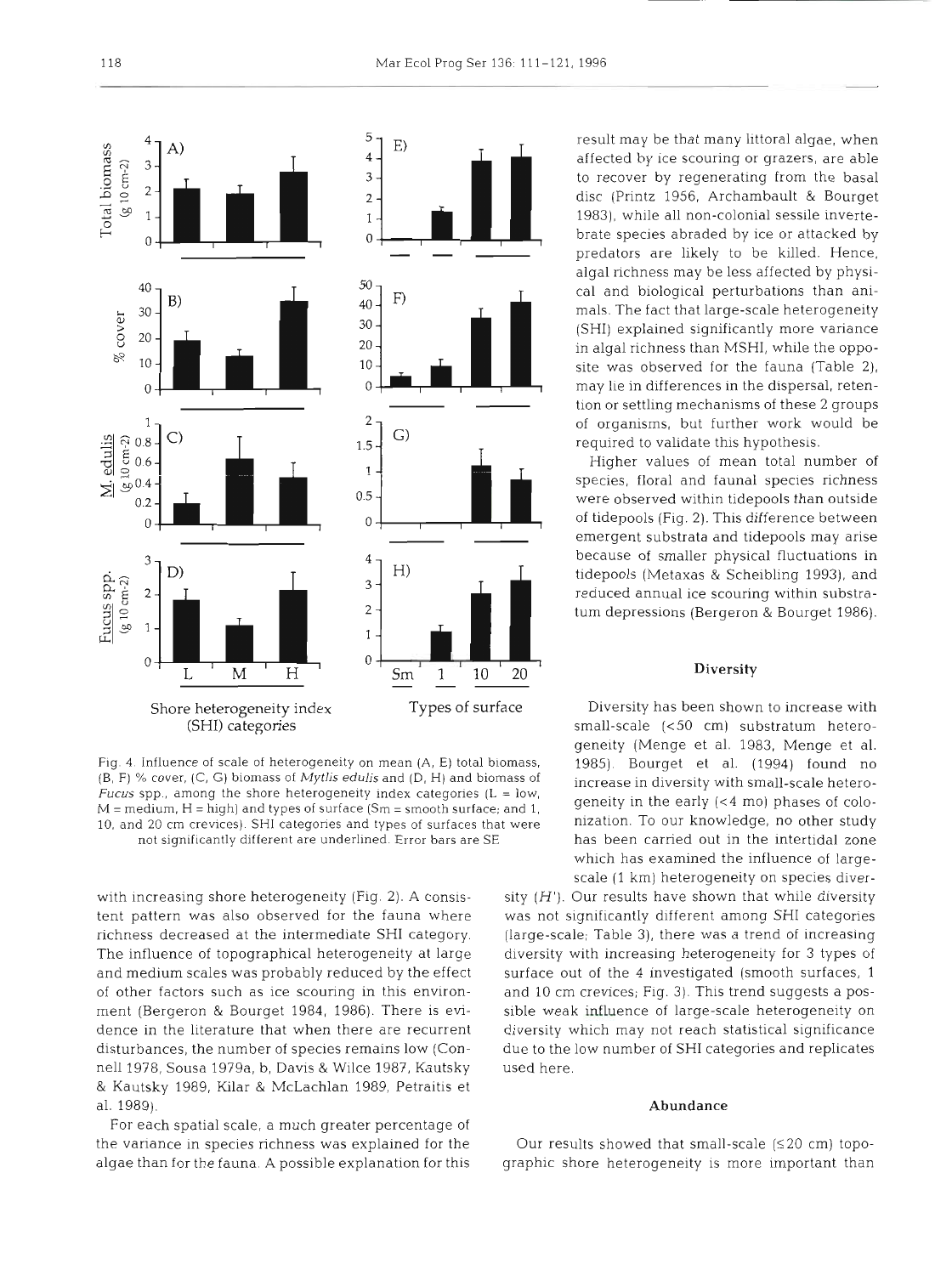

Fig. 4. Influence of scale of heterogeneity on mean (A, E) total biomass, (B, F) % cover, (C, G) biomass of **Mytlis edulis** and **(D, H)** and biomass of Fucus spp., among the shore heterogeneity index categories  $(L = low$ ,  $M$  = medium,  $H$  = high) and types of surface (Sm = smooth surface; and 1, 10, and 20 cm crevices) SHI categories and types of surfaces that were not significantly different are underlined. Error bars are SE

with increasing shore heterogeneity (Fig. 2). A consistent pattern was also observed for the fauna where richness decreased at the intermediate SHI category. The influence of topographical heterogeneity at large and medium scales was probably reduced by the effect of other factors such as ice scouring in this environment (Bergeron & Bourget 1984, 1986). There is evldence in the literature that when there are recurrent disturbances, the number of species remains low (Connell 1978, Sousa 1979a, b, Davis & Wilce 1987, Kautsky & Kautsky 1989, Kilar & McLachlan 1989, Petraitis et al. 1989).

For each spatial scale, a much greater percentage of the variance in species richness was explained for the algae than for the fauna. **A** possible explanation for this result may be that many littoral algae, when affected by ice scouring or grazers, are able to recover by regenerating from the basal disc (Printz 1956, Archambault & Bourget 1983), while all non-colonial sessile invertebrate species abraded by ice or attacked by predators are likely to be killed. Hence, algal richness may be less affected by physical and biological perturbations than animals. The fact that large-scale heterogeneity (SHI) explained significantly more variance in algal richness than MSHI, while the opposite was observed for the fauna (Table *2),*  may lie in differences in the dispersal, retention or settling mechanisms of these 2 groups of organisms, but further work would be required to validate this hypothesis.

Higher values of mean total number of species, floral and faunal species richness were observed within tidepools than outside of tidepools (Fig. 2). This difference between emergent substrata and tidepools may arise because of smaller physical fluctuations in tidepools (Metaxas & Scheibling 1993), and reduced annual ice scouring within substratum depressions (Bergeron & Bourget 1986).

# **Diversity**

Diversity has been shown to increase with small-scale (<50 cm) substratum heterogeneity (Menge et al. 1983, Menge et al. 1985). Bourget et al. (1994) found no increase in diversity with small-scale heterogeneity in the early **(<4** mo) phases of colonization. To our knowledge, no other study has been carried out in the intertidal zone which has examined the influence of largescale (1 km) heterogeneity on species diver-

sity  $(H')$ . Our results have shown that while diversity was not significantly different among SHI categories (large-scale; Table 3), there was a trend of increasing diversity with increasing heterogeneity for 3 types of surface out of the 4 investigated (smooth surfaces, 1 and 10 cm crevices; Fig. 3). This trend suggests a possible weak influence of large-scale heterogeneity on diversity which may not reach statistical significance due to the low number of SHI categories and replicates used here.

# **Abundance**

Our results showed that small-scale  $(≤20$  cm) topographic shore heterogeneity is more important than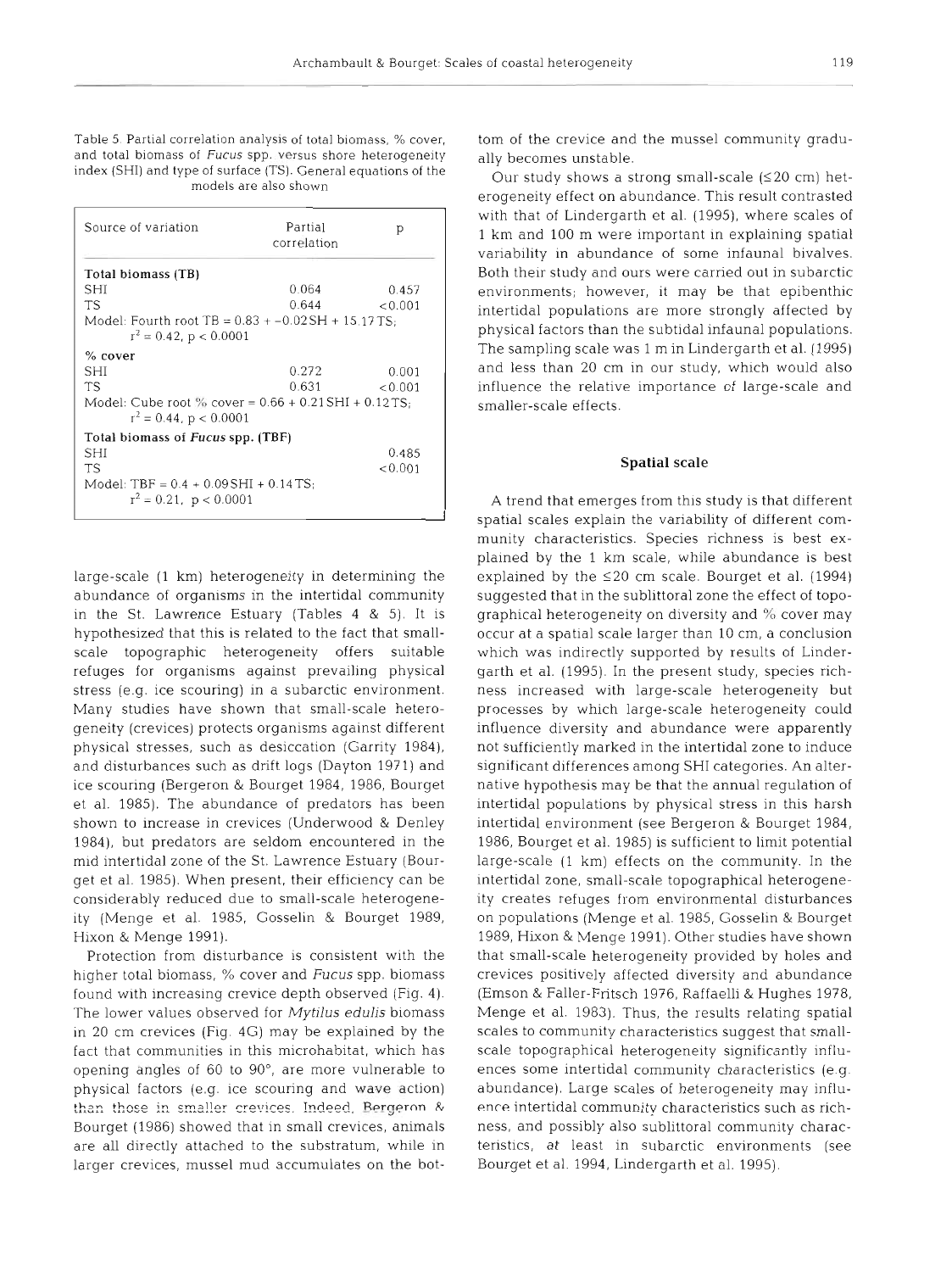Table 5. Partial correlation analysis of total biomass, % cover, and total biomass of Fucus spp. versus shore heterogeneity index (SHI) and type of surface (TS). General equations of the models are also shown

| Source of variation                                                                   | Partial<br>correlation | р       |
|---------------------------------------------------------------------------------------|------------------------|---------|
| Total biomass (TB)                                                                    |                        |         |
| SHI                                                                                   | 0.064                  | 0.457   |
| TS                                                                                    | 0.644                  | < 0.001 |
| Model: Fourth root TB = $0.83 + -0.02$ SH + 15.17 TS;<br>$r^2 = 0.42$ , p < 0.0001    |                        |         |
| % cover                                                                               |                        |         |
| SHI                                                                                   | 0.272                  | 0.001   |
| ТS                                                                                    | 0.631                  | < 0.001 |
| Model: Cube root $\%$ cover = 0.66 + 0.21 SHI + 0.12 TS;<br>$r^2 = 0.44$ , p < 0.0001 |                        |         |
| Total biomass of Fucus spp. (TBF)                                                     |                        |         |
| SHI                                                                                   |                        | 0.485   |
| <b>TS</b>                                                                             |                        | < 0.001 |
| Model: TBF = $0.4 + 0.09$ SHI + 0.14 TS;<br>$r^2 = 0.21$ , $p < 0.0001$               |                        |         |

large-scale (1 km) heterogeneity in determining the abundance of organisms in the intertidal community in the St. Lawrence Estuary (Tables 4 & 5). It is hypothesized that this is related to the fact that smallscale topographic heterogeneity offers suitable refuges for organisms against prevailing physical stress (e.g. ice scouring) in a subarctic environment. Many studies have shown that small-scale heterogeneity (crevices) protects organisms against different physical stresses, such as desiccation (Garrity 1984), and disturbances such as drift logs (Dayton 1971) and ice scouring (Bergeron & Bourget 1984, 1986, Bourget et al. 1985). The abundance of predators has been shown to increase in crevices (Underwood & Denley 1984), but predators are seldom encountered in the mid intertidal zone of the St. Lawrence Estuary (Bourget et al. 1985). When present, their efficiency can be considerably reduced due to small-scale heterogeneity (Menge et al. 1985, Gosselin & Bourget 1989, Hixon & Menge 1991).

Protection from disturbance is consistent with the higher total biomass, '% cover and **Fucus** spp. biomass found with increasing crevice depth observed (Fig. 4). The lower values observed for *Mytilus* **edulis** biornass in 20 cm crevices (Fig. 4G) may be explained by the fact that communities in this microhabitat, which has opening angles of 60 to 90°, are more vulnerable to physical factors (e.g. ice scouring and wave action) than those in smaller crevices. Indeed, **Rengeron** & Bourget (1986) showed that in small crevices, animals are all directly attached to the substratum, while in larger crevices, mussel mud accumulates on the bot-

tom of the crevice and the mussel community gradually becomes unstable.<br>
Our study shows a strong small-scale ( $\leq$ 20 cm) het-<br>
erogeneity effect on abundance. This result contrasted<br>
with that of Lindergarth et al. (199

**Spatial scale**<br> **Spatial scale**<br> **Spatial scales**<br> **Spatial scales explain the vaniabily of different community characteristics. Species richness is best explained by the 1 km scale, while abundance is best explained by**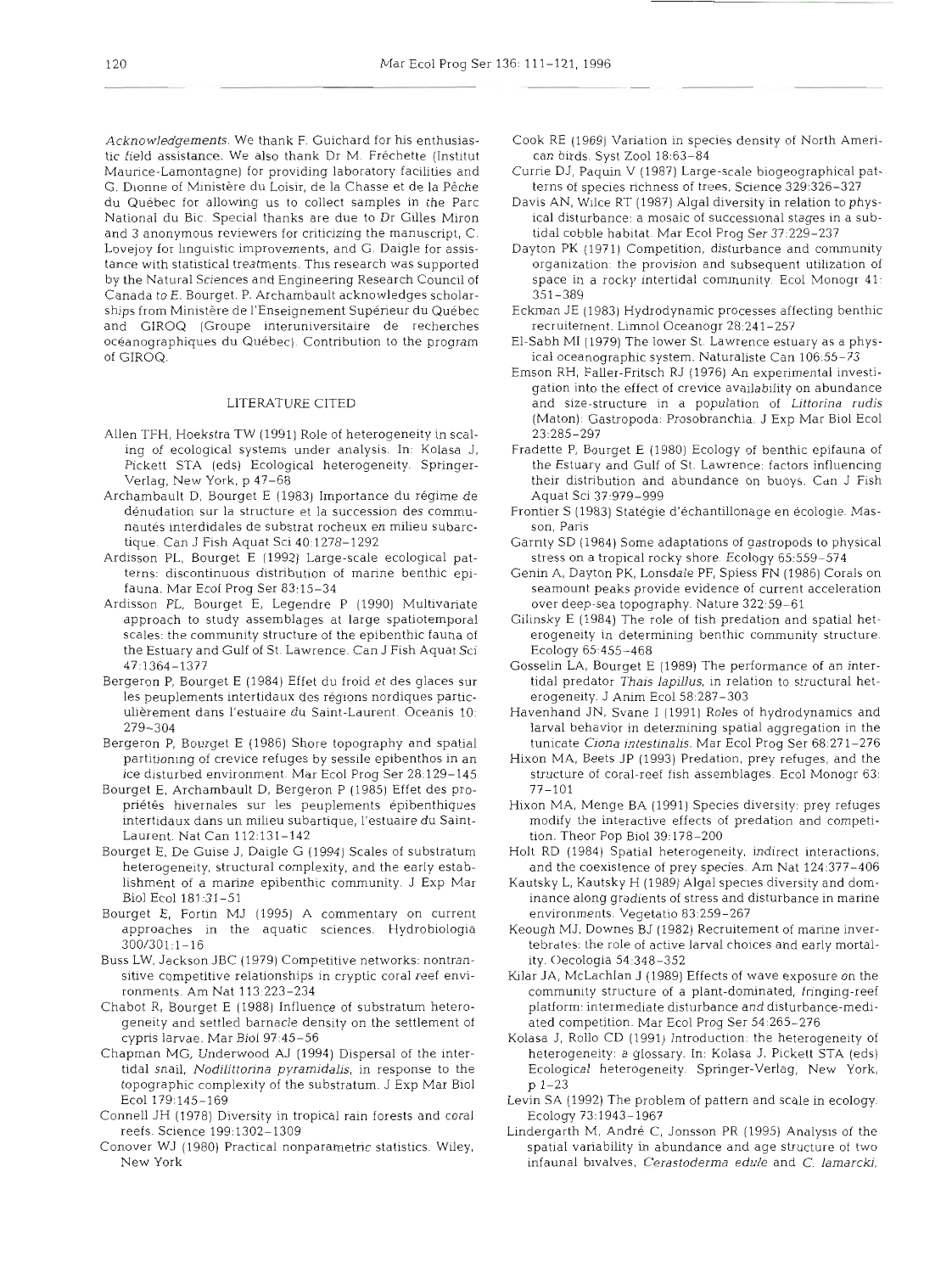Acknowledgements. We thank F. Guichard for his enthusiastic field assistance. We also thank Dr M. Frechette (Institut Maurice-Lamontagne) for providing laboratory facilities and G. Dionne of Ministère du Loisir, de la Chasse et de la Pêche du Quebec for allowing us to collect samples in the Parc National du Bic. Special thanks are due to Dr Gilles Miron and 3 anonymous reviewers for criticizing the manuscript, C. Lovejoy for linguistic improvements, and G. Daigle for assistance with statistical treatments. This research was supported by the Natural Sciences and Engineering Research Council of Canada to E. Bourget. P. Archambault acknowledges scholarships from Ministere de I'Enseignement Superieur du Quebec and GIROQ (Groupe interuniversitaire de recherches oceanographiques du Quebec). Contribution to the program of GIROQ.

# LITERATURE CITED

- Allen TFH, Hoekstra TW (1991) Role of heterogeneity in scaling of ecological systems under analysis. In: Kolasa J, Pickett STA (eds) Ecological heterogeneity. Springer-Verlag, New York, p 47-68
- Archambault D, Bourget E (1983) Importance du régime de dénudation sur la structure et la succession des communautés interdidales de substrat rocheux en milieu subarctique. Can J Fish Aquat Sci 40:1278-1292
- Ardisson PL, Bourget E (1992) Large-scale ecological patterns: discontinuous distribution of marine benthic epifauna. Mar Ecol Prog Ser 83:15-34
- Ardisson PL, Bourget E, Legendre P (1990) Multivariate approach to study assemblages at large spatiotemporal scales: the community structure of the epibenthic fauna of the Estuary and Gulf of St. Lawrence. Can J Fish Aquat Sci 47:1364-1377
- Bergeron P, Bourget E (1984) Effet du froid et des glaces sur les peuplements intertidaux des régions nordiques particulièrement dans l'estuaire du Saint-Laurent. Oceanis 10: 279-304
- Bergeron P, Bourget E (1986) Shore topography and spatial partitioning of crevice refuges by sessile epibenthos in an ice disturbed environment. Mar Ecol Prog Ser 28:129-145
- Bourget E, Archambault D, Bergeron P (1985) Effet des propriétés hivernales sur les peuplements épibenthiques intertidaux dans un milieu subartique, I'estuaire du Saint-Laurent. Nat Can 112:131-142
- Bourget E, De Guise J, Daigle G (1994) Scales of substratum heterogeneity, structural complexity, and the early establishment of a marine epibenthic community. J Exp Mar Biol Ecol 181 :31-51
- Bourget E, Fortin MJ (1995) A commentary on current approaches in the aquatic sciences. Hydrobiologia 300/301:1-16
- Buss LW, Jackson JBC (1979) Competitive networks: nontransitive competitive relationships in cryptic coral reef environments. Am Nat 113:223-234
- Chabot R, Bourget E (1988) influence of substratum heterogeneity and settled barnacle density on the settlement of cypris larvae. Mar Biol 97:45-56
- Chapman MG, Underwood **AJ** (1994) Dispersal of the intertidal snail, Nodilittorina pyramidalis, in response to the topographic complexity of the substratum. J Exp Mar Biol Ecol 179:145-169
- Connell JH (1978) Diversity in tropical rain forests and coral reefs. Science 199:1302-1309
- Conover WJ (1980) Practical nonparametric statistics. Wiley, New York
- Cook RE (1969) Variation in species density of North American birds. Syst Zoo1 18:63-84
- Currie DJ, Paquin V (1987) Large-scale biogeographical patterns of species richness of trees. Science 329:326-327
- Davis AN, Wllce RT (1987) Algal diversity in relation to physical disturbance: a mosaic of successional stages in a subtidal cobble habitat. Mar Ecol Prog Ser 37:229-237
- Dayton PK (1971) Competition, disturbance and community organization: the provision and subsequent utilization of space in a rocky intertidal community. Ecol Monogr 41: 351-389
- Eckrnan JE (1983) Hydrodynamic processes affecting benthic recruitement. Limnol Oceanogr 28:241-257
- El-Sabh M1 (1979) The lower St Lawrence estuary as a physical oceanographic system. Naturaliste Can 106:55-73
- Emson RH, Faller-Fritsch RJ (1976) An experimental investigation into the effect of crevice availability on abundance and size-structure in a population of Littorina **rudis**  (Maton): Gastropoda: Prosobranchia. J Exp Mar Biol Ecol 23:285-297
- Fradette P, Bourget E (1980) Ecology of benthic epifauna of the Estuary and Gulf of St. Lawrence: factors influencing their distribution and abundance on buoys. Can J Fish Aquat Sci 37:979-999
- Frontier S (1983) Statégie d'échantillonage en écologie. Masson, Paris
- Garnty SD (1984) Some adaptations of gastropods to physlcal stress on a tropical rocky shore. Ecology 65:559-574
- Genin A, Dayton PK, Lonsdale PF, Spiess FN (1986) Corals on seamount peaks provide evidence of current acceleration over deep-sea topography. Nature 322:59-61
- Gilinsky E (1984) The role of fish predation and spatial heterogeneity in determining benthic community structure. Ecology 65:455-468
- Gosselin LA, Bourget E (1989) The performance of an intertidal predator Thais lapillus, in relation to structural heterogeneity. J Anim Ecol 58:287-303
- Havenhand JN, Svane I (1991) Roles of hydrodynamics and larval behavior in determining spatial aggregation in the tunicate Ciona intestinalis. Mar Ecol Prog Ser 68~271-276
- Hixon MA, Beets JP (1993) Predation, prey refuges, and the structure of coral-reef fish assemblages. Ecol Monogr 63: 77-101
- Hixon MA, Menge BA (1991) Species diversity: prey refuges modify the interactive effects of predation and competition. Theor Pop Biol 39:178-200
- Holt RD (1984) Spatial heterogeneity, indirect interactions, and the coexistence of prey species. Am Nat 124:377-406
- Kautsky L, Kautsky H (1989) Algal specles diversity and dominance along gradients of stress and disturbance in manne environments. Vegetatio 83:259-267
- Keough MJ. Downes BJ (1982) Recruitement of marine invertebrates: the role of active larval choices and early mortality. Oecologia 54:348-352
- Kilar JA, McLachlan J (1989) Effects of wave exposure on the community structure of a plant-dominated, fringing-reef platform: intermediate disturbance and disturbance-mediated competition. Mar Ecol Prog Ser 54:265-276
- Kolasa J, Rollo CD (1991) Introduction: the heterogeneity of heterogeneity: a glossary. In: Kolasa J. Pickett STA (eds) Ecological heterogeneity. Springer-Verlag, New York, p 1-23
- Levin SA (1992) The problem of pattern and scale in ecology. Ecology 73:1943-1967
- Lindergarth M, André C, Jonsson PR (1995) Analysis of the spatial variability in abundance and age structure of two infaunal bivalves, Cerastoderma edule and C. lamarcki,